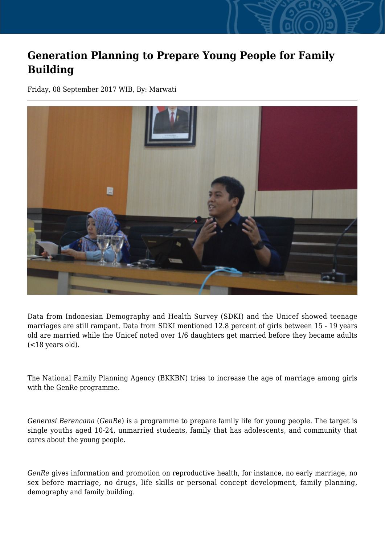## **Generation Planning to Prepare Young People for Family Building**

Friday, 08 September 2017 WIB, By: Marwati



Data from Indonesian Demography and Health Survey (SDKI) and the Unicef showed teenage marriages are still rampant. Data from SDKI mentioned 12.8 percent of girls between 15 - 19 years old are married while the Unicef noted over 1/6 daughters get married before they became adults (<18 years old).

The National Family Planning Agency (BKKBN) tries to increase the age of marriage among girls with the GenRe programme.

*Generasi Berencana* (*GenRe*) is a programme to prepare family life for young people. The target is single youths aged 10-24, unmarried students, family that has adolescents, and community that cares about the young people.

*GenRe* gives information and promotion on reproductive health, for instance, no early marriage, no sex before marriage, no drugs, life skills or personal concept development, family planning, demography and family building.